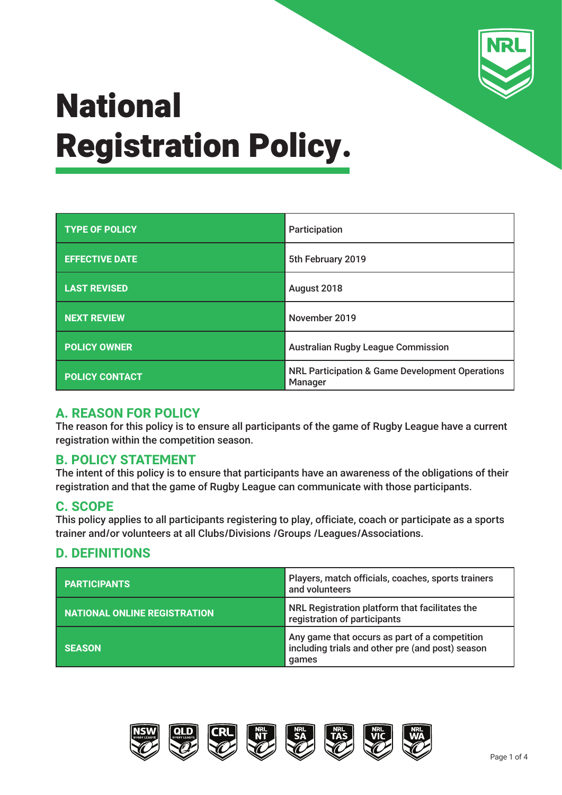

| <b>TYPE OF POLICY</b> | Participation                                                         |  |
|-----------------------|-----------------------------------------------------------------------|--|
| <b>EFFECTIVE DATE</b> | 5th February 2019                                                     |  |
| <b>LAST REVISED</b>   | August 2018                                                           |  |
| <b>NEXT REVIEW</b>    | November 2019                                                         |  |
| <b>POLICY OWNER</b>   | <b>Australian Rugby League Commission</b>                             |  |
| <b>POLICY CONTACT</b> | <b>NRL Participation &amp; Game Development Operations</b><br>Manager |  |

#### **A. REASON FOR POLICY**

The reason for this policy is to ensure all participants of the game of Rugby League have a current registration within the competition season.

### **B. POLICY STATEMENT**

The intent of this policy is to ensure that participants have an awareness of the obligations of their registration and that the game of Rugby League can communicate with those participants.

### **C. SCOPE**

This policy applies to all participants registering to play, officiate, coach or participate as a sports trainer and/or volunteers at all Clubs/Divisions /Groups /Leagues/Associations.

## **D. DEFINITIONS**

| <b>PARTICIPANTS</b>                 | Players, match officials, coaches, sports trainers<br>and volunteers                                       |  |
|-------------------------------------|------------------------------------------------------------------------------------------------------------|--|
| <b>NATIONAL ONLINE REGISTRATION</b> | NRL Registration platform that facilitates the<br>registration of participants                             |  |
| <b>SEASON</b>                       | Any game that occurs as part of a competition<br>including trials and other pre (and post) season<br>games |  |





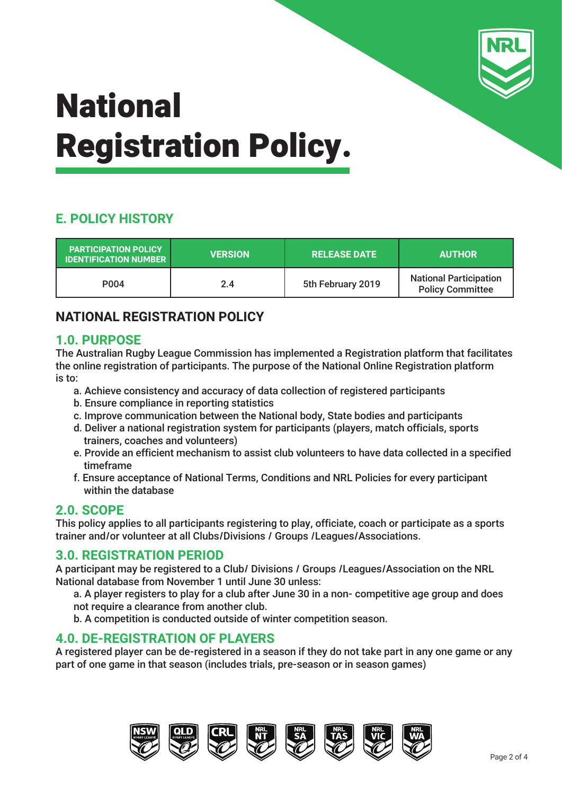

# **E. POLICY HISTORY**

| <b>PARTICIPATION POLICY</b><br><b>IDENTIFICATION NUMBER</b> | <b>VERSION</b> | <b>RELEASE DATE</b> | <b>AUTHOR</b>                                            |
|-------------------------------------------------------------|----------------|---------------------|----------------------------------------------------------|
| P <sub>0</sub> 04                                           | 2.4            | 5th February 2019   | <b>National Participation</b><br><b>Policy Committee</b> |

## **NATIONAL REGISTRATION POLICY**

#### **1.0. PURPOSE**

The Australian Rugby League Commission has implemented a Registration platform that facilitates the online registration of participants. The purpose of the National Online Registration platform is to:

- a. Achieve consistency and accuracy of data collection of registered participants
- b. Ensure compliance in reporting statistics
- c. Improve communication between the National body, State bodies and participants
- d. Deliver a national registration system for participants (players, match officials, sports trainers, coaches and volunteers)
- e. Provide an efficient mechanism to assist club volunteers to have data collected in a specified timeframe
- f. Ensure acceptance of National Terms, Conditions and NRL Policies for every participant within the database

#### **2.0. SCOPE**

This policy applies to all participants registering to play, officiate, coach or participate as a sports trainer and/or volunteer at all Clubs/Divisions / Groups /Leagues/Associations.

#### **3.0. REGISTRATION PERIOD**

A participant may be registered to a Club/ Divisions / Groups /Leagues/Association on the NRL National database from November 1 until June 30 unless:

- a. A player registers to play for a club after June 30 in a non- competitive age group and does not require a clearance from another club.
- b. A competition is conducted outside of winter competition season.

#### **4.0. DE-REGISTRATION OF PLAYERS**

A registered player can be de-registered in a season if they do not take part in any one game or any part of one game in that season (includes trials, pre-season or in season games)

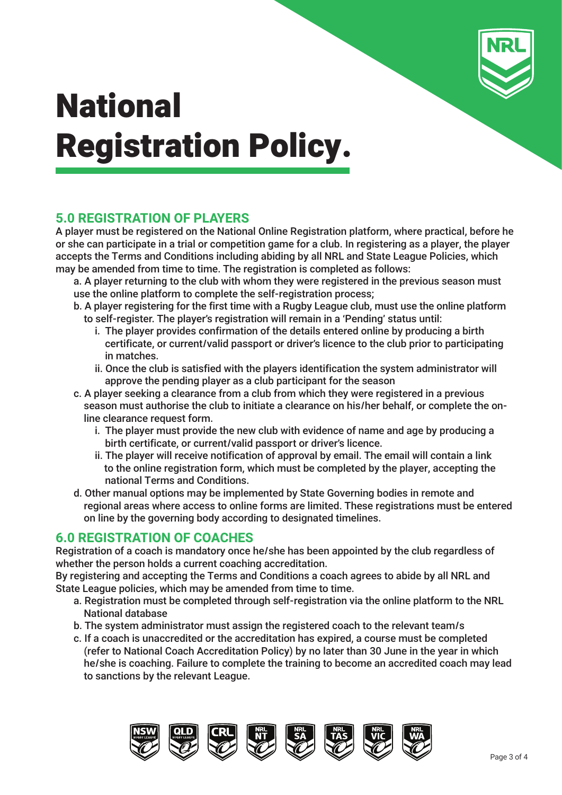

## **5.0 REGISTRATION OF PLAYERS**

A player must be registered on the National Online Registration platform, where practical, before he or she can participate in a trial or competition game for a club. In registering as a player, the player accepts the Terms and Conditions including abiding by all NRL and State League Policies, which may be amended from time to time. The registration is completed as follows:

a. A player returning to the club with whom they were registered in the previous season must use the online platform to complete the self-registration process;

- b. A player registering for the first time with a Rugby League club, must use the online platform to self-register. The player's registration will remain in a 'Pending' status until:
	- i. The player provides confirmation of the details entered online by producing a birth certificate, or current/valid passport or driver's licence to the club prior to participating in matches.
	- ii. Once the club is satisfied with the players identification the system administrator will approve the pending player as a club participant for the season
- c. A player seeking a clearance from a club from which they were registered in a previous season must authorise the club to initiate a clearance on his/her behalf, or complete the on line clearance request form.
	- i. The player must provide the new club with evidence of name and age by producing a birth certificate, or current/valid passport or driver's licence.
	- ii. The player will receive notification of approval by email. The email will contain a link to the online registration form, which must be completed by the player, accepting the national Terms and Conditions.
- d. Other manual options may be implemented by State Governing bodies in remote and regional areas where access to online forms are limited. These registrations must be entered on line by the governing body according to designated timelines.

#### **6.0 REGISTRATION OF COACHES**

Registration of a coach is mandatory once he/she has been appointed by the club regardless of whether the person holds a current coaching accreditation.

By registering and accepting the Terms and Conditions a coach agrees to abide by all NRL and State League policies, which may be amended from time to time.

- a. Registration must be completed through self-registration via the online platform to the NRL National database
- b. The system administrator must assign the registered coach to the relevant team/s
- c. If a coach is unaccredited or the accreditation has expired, a course must be completed (refer to National Coach Accreditation Policy) by no later than 30 June in the year in which he/she is coaching. Failure to complete the training to become an accredited coach may lead to sanctions by the relevant League.